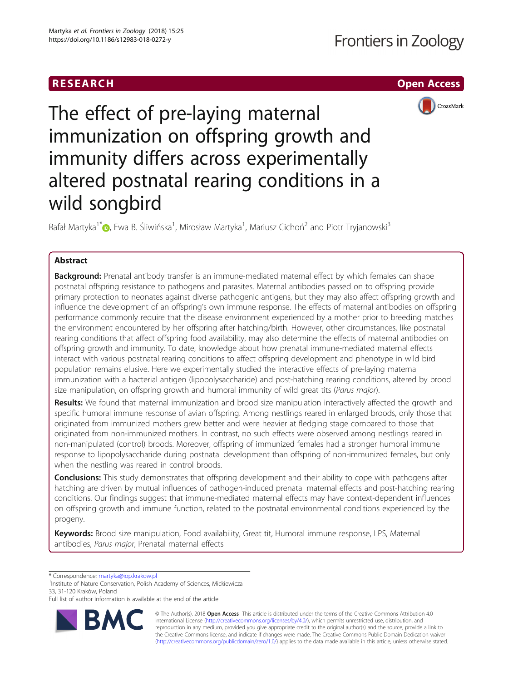# RESEARCH **RESEARCH CHANNEL CONTROL**



The effect of pre-laying maternal immunization on offspring growth and immunity differs across experimentally altered postnatal rearing conditions in a wild songbird

Rafał Martyka<sup>1\*</sup>�, Ewa B. Śliwińska<sup>1</sup>, Mirosław Martyka<sup>1</sup>, Mariusz Cichoń<sup>2</sup> and Piotr Tryjanowski<sup>3</sup>

## Abstract

**Background:** Prenatal antibody transfer is an immune-mediated maternal effect by which females can shape postnatal offspring resistance to pathogens and parasites. Maternal antibodies passed on to offspring provide primary protection to neonates against diverse pathogenic antigens, but they may also affect offspring growth and influence the development of an offspring's own immune response. The effects of maternal antibodies on offspring performance commonly require that the disease environment experienced by a mother prior to breeding matches the environment encountered by her offspring after hatching/birth. However, other circumstances, like postnatal rearing conditions that affect offspring food availability, may also determine the effects of maternal antibodies on offspring growth and immunity. To date, knowledge about how prenatal immune-mediated maternal effects interact with various postnatal rearing conditions to affect offspring development and phenotype in wild bird population remains elusive. Here we experimentally studied the interactive effects of pre-laying maternal immunization with a bacterial antigen (lipopolysaccharide) and post-hatching rearing conditions, altered by brood size manipulation, on offspring growth and humoral immunity of wild great tits (Parus major).

Results: We found that maternal immunization and brood size manipulation interactively affected the growth and specific humoral immune response of avian offspring. Among nestlings reared in enlarged broods, only those that originated from immunized mothers grew better and were heavier at fledging stage compared to those that originated from non-immunized mothers. In contrast, no such effects were observed among nestlings reared in non-manipulated (control) broods. Moreover, offspring of immunized females had a stronger humoral immune response to lipopolysaccharide during postnatal development than offspring of non-immunized females, but only when the nestling was reared in control broods.

**Conclusions:** This study demonstrates that offspring development and their ability to cope with pathogens after hatching are driven by mutual influences of pathogen-induced prenatal maternal effects and post-hatching rearing conditions. Our findings suggest that immune-mediated maternal effects may have context-dependent influences on offspring growth and immune function, related to the postnatal environmental conditions experienced by the progeny.

Keywords: Brood size manipulation, Food availability, Great tit, Humoral immune response, LPS, Maternal antibodies, Parus major, Prenatal maternal effects

\* Correspondence: [martyka@iop.krakow.pl](mailto:martyka@iop.krakow.pl) <sup>1</sup>

<sup>1</sup>Institute of Nature Conservation, Polish Academy of Sciences, Mickiewicza 33, 31-120 Kraków, Poland

Full list of author information is available at the end of the article



© The Author(s). 2018 Open Access This article is distributed under the terms of the Creative Commons Attribution 4.0 International License [\(http://creativecommons.org/licenses/by/4.0/](http://creativecommons.org/licenses/by/4.0/)), which permits unrestricted use, distribution, and reproduction in any medium, provided you give appropriate credit to the original author(s) and the source, provide a link to the Creative Commons license, and indicate if changes were made. The Creative Commons Public Domain Dedication waiver [\(http://creativecommons.org/publicdomain/zero/1.0/](http://creativecommons.org/publicdomain/zero/1.0/)) applies to the data made available in this article, unless otherwise stated.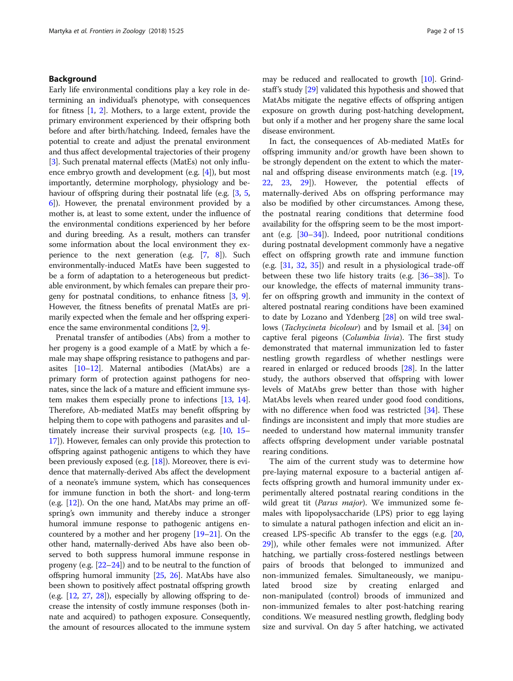## Background

Early life environmental conditions play a key role in determining an individual's phenotype, with consequences for fitness  $[1, 2]$  $[1, 2]$  $[1, 2]$  $[1, 2]$ . Mothers, to a large extent, provide the primary environment experienced by their offspring both before and after birth/hatching. Indeed, females have the potential to create and adjust the prenatal environment and thus affect developmental trajectories of their progeny [[3\]](#page-13-0). Such prenatal maternal effects (MatEs) not only influence embryo growth and development (e.g. [\[4\]](#page-13-0)), but most importantly, determine morphology, physiology and be-haviour of offspring during their postnatal life (e.g. [[3,](#page-13-0) [5](#page-13-0), [6\]](#page-13-0)). However, the prenatal environment provided by a mother is, at least to some extent, under the influence of the environmental conditions experienced by her before and during breeding. As a result, mothers can transfer some information about the local environment they experience to the next generation (e.g. [[7](#page-13-0), [8\]](#page-13-0)). Such environmentally-induced MatEs have been suggested to be a form of adaptation to a heterogeneous but predictable environment, by which females can prepare their progeny for postnatal conditions, to enhance fitness [\[3,](#page-13-0) [9](#page-13-0)]. However, the fitness benefits of prenatal MatEs are primarily expected when the female and her offspring experience the same environmental conditions [\[2](#page-13-0), [9\]](#page-13-0).

Prenatal transfer of antibodies (Abs) from a mother to her progeny is a good example of a MatE by which a female may shape offspring resistance to pathogens and parasites [\[10](#page-13-0)–[12](#page-13-0)]. Maternal antibodies (MatAbs) are a primary form of protection against pathogens for neonates, since the lack of a mature and efficient immune system makes them especially prone to infections [[13](#page-13-0), [14](#page-13-0)]. Therefore, Ab-mediated MatEs may benefit offspring by helping them to cope with pathogens and parasites and ultimately increase their survival prospects (e.g. [\[10,](#page-13-0) [15](#page-13-0)– [17](#page-13-0)]). However, females can only provide this protection to offspring against pathogenic antigens to which they have been previously exposed (e.g. [\[18\]](#page-13-0)). Moreover, there is evidence that maternally-derived Abs affect the development of a neonate's immune system, which has consequences for immune function in both the short- and long-term (e.g.  $[12]$  $[12]$  $[12]$ ). On the one hand, MatAbs may prime an offspring's own immunity and thereby induce a stronger humoral immune response to pathogenic antigens encountered by a mother and her progeny [[19](#page-13-0)–[21\]](#page-13-0). On the other hand, maternally-derived Abs have also been observed to both suppress humoral immune response in progeny (e.g. [[22](#page-13-0)–[24\]](#page-13-0)) and to be neutral to the function of offspring humoral immunity [\[25,](#page-13-0) [26\]](#page-13-0). MatAbs have also been shown to positively affect postnatal offspring growth (e.g. [[12,](#page-13-0) [27](#page-13-0), [28\]](#page-13-0)), especially by allowing offspring to decrease the intensity of costly immune responses (both innate and acquired) to pathogen exposure. Consequently, the amount of resources allocated to the immune system may be reduced and reallocated to growth [\[10\]](#page-13-0). Grindstaff's study [\[29\]](#page-13-0) validated this hypothesis and showed that MatAbs mitigate the negative effects of offspring antigen exposure on growth during post-hatching development, but only if a mother and her progeny share the same local disease environment.

In fact, the consequences of Ab-mediated MatEs for offspring immunity and/or growth have been shown to be strongly dependent on the extent to which the maternal and offspring disease environments match (e.g. [[19](#page-13-0), [22,](#page-13-0) [23,](#page-13-0) [29\]](#page-13-0)). However, the potential effects of maternally-derived Abs on offspring performance may also be modified by other circumstances. Among these, the postnatal rearing conditions that determine food availability for the offspring seem to be the most important (e.g. [\[30](#page-13-0)–[34\]](#page-13-0)). Indeed, poor nutritional conditions during postnatal development commonly have a negative effect on offspring growth rate and immune function (e.g.  $[31, 32, 35]$  $[31, 32, 35]$  $[31, 32, 35]$  $[31, 32, 35]$  $[31, 32, 35]$  $[31, 32, 35]$ ) and result in a physiological trade-off between these two life history traits (e.g. [\[36](#page-13-0)–[38\]](#page-13-0)). To our knowledge, the effects of maternal immunity transfer on offspring growth and immunity in the context of altered postnatal rearing conditions have been examined to date by Lozano and Ydenberg [\[28](#page-13-0)] on wild tree swallows (Tachycineta bicolour) and by Ismail et al. [\[34](#page-13-0)] on captive feral pigeons (Columbia livia). The first study demonstrated that maternal immunization led to faster nestling growth regardless of whether nestlings were reared in enlarged or reduced broods [[28\]](#page-13-0). In the latter study, the authors observed that offspring with lower levels of MatAbs grew better than those with higher MatAbs levels when reared under good food conditions, with no difference when food was restricted [\[34](#page-13-0)]. These findings are inconsistent and imply that more studies are needed to understand how maternal immunity transfer affects offspring development under variable postnatal rearing conditions.

The aim of the current study was to determine how pre-laying maternal exposure to a bacterial antigen affects offspring growth and humoral immunity under experimentally altered postnatal rearing conditions in the wild great tit (Parus major). We immunized some females with lipopolysaccharide (LPS) prior to egg laying to simulate a natural pathogen infection and elicit an increased LPS-specific Ab transfer to the eggs (e.g. [[20](#page-13-0), [29\]](#page-13-0)), while other females were not immunized. After hatching, we partially cross-fostered nestlings between pairs of broods that belonged to immunized and non-immunized females. Simultaneously, we manipulated brood size by creating enlarged and non-manipulated (control) broods of immunized and non-immunized females to alter post-hatching rearing conditions. We measured nestling growth, fledgling body size and survival. On day 5 after hatching, we activated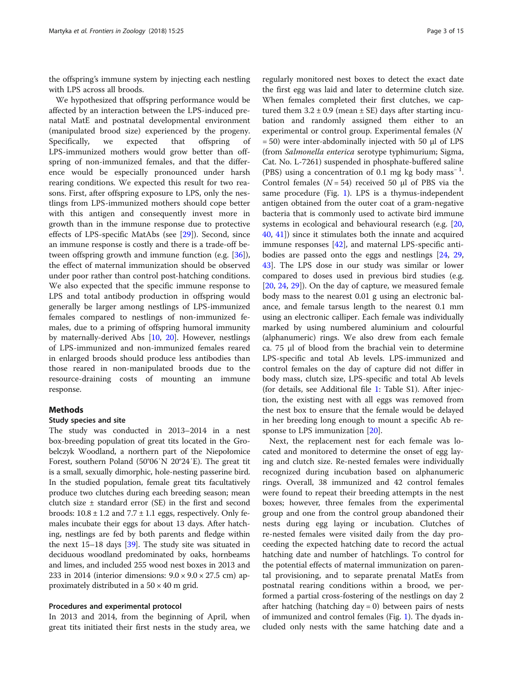the offspring's immune system by injecting each nestling with LPS across all broods.

We hypothesized that offspring performance would be affected by an interaction between the LPS-induced prenatal MatE and postnatal developmental environment (manipulated brood size) experienced by the progeny. Specifically, we expected that offspring of LPS-immunized mothers would grow better than offspring of non-immunized females, and that the difference would be especially pronounced under harsh rearing conditions. We expected this result for two reasons. First, after offspring exposure to LPS, only the nestlings from LPS-immunized mothers should cope better with this antigen and consequently invest more in growth than in the immune response due to protective effects of LPS-specific MatAbs (see [\[29\]](#page-13-0)). Second, since an immune response is costly and there is a trade-off between offspring growth and immune function (e.g. [\[36](#page-13-0)]), the effect of maternal immunization should be observed under poor rather than control post-hatching conditions. We also expected that the specific immune response to LPS and total antibody production in offspring would generally be larger among nestlings of LPS-immunized females compared to nestlings of non-immunized females, due to a priming of offspring humoral immunity by maternally-derived Abs [[10,](#page-13-0) [20](#page-13-0)]. However, nestlings of LPS-immunized and non-immunized females reared in enlarged broods should produce less antibodies than those reared in non-manipulated broods due to the resource-draining costs of mounting an immune response.

## Methods

#### Study species and site

The study was conducted in 2013–2014 in a nest box-breeding population of great tits located in the Grobelczyk Woodland, a northern part of the Niepołomice Forest, southern Poland (50°06′N 20°24′E). The great tit is a small, sexually dimorphic, hole-nesting passerine bird. In the studied population, female great tits facultatively produce two clutches during each breeding season; mean clutch size  $\pm$  standard error (SE) in the first and second broods:  $10.8 \pm 1.2$  and  $7.7 \pm 1.1$  eggs, respectively. Only females incubate their eggs for about 13 days. After hatching, nestlings are fed by both parents and fledge within the next 15–18 days [[39](#page-13-0)]. The study site was situated in deciduous woodland predominated by oaks, hornbeams and limes, and included 255 wood nest boxes in 2013 and 233 in 2014 (interior dimensions:  $9.0 \times 9.0 \times 27.5$  cm) approximately distributed in a  $50 \times 40$  m grid.

#### Procedures and experimental protocol

In 2013 and 2014, from the beginning of April, when great tits initiated their first nests in the study area, we

regularly monitored nest boxes to detect the exact date the first egg was laid and later to determine clutch size. When females completed their first clutches, we captured them  $3.2 \pm 0.9$  (mean  $\pm$  SE) days after starting incubation and randomly assigned them either to an experimental or control group. Experimental females (N  $= 50$ ) were inter-abdominally injected with 50 μl of LPS (from Salmonella enterica serotype typhimurium; Sigma, Cat. No. L-7261) suspended in phosphate-buffered saline (PBS) using a concentration of 0.1 mg kg body mass<sup>−</sup> <sup>1</sup> . Control females  $(N = 54)$  received 50 μl of PBS via the same procedure (Fig. [1](#page-3-0)). LPS is a thymus-independent antigen obtained from the outer coat of a gram-negative bacteria that is commonly used to activate bird immune systems in ecological and behavioural research (e.g. [[20](#page-13-0), [40,](#page-13-0) [41\]](#page-13-0)) since it stimulates both the innate and acquired immune responses [[42](#page-13-0)], and maternal LPS-specific antibodies are passed onto the eggs and nestlings [\[24,](#page-13-0) [29](#page-13-0), [43\]](#page-13-0). The LPS dose in our study was similar or lower compared to doses used in previous bird studies (e.g. [[20,](#page-13-0) [24,](#page-13-0) [29\]](#page-13-0)). On the day of capture, we measured female body mass to the nearest 0.01 g using an electronic balance, and female tarsus length to the nearest 0.1 mm using an electronic calliper. Each female was individually marked by using numbered aluminium and colourful (alphanumeric) rings. We also drew from each female ca. 75 μl of blood from the brachial vein to determine LPS-specific and total Ab levels. LPS-immunized and control females on the day of capture did not differ in body mass, clutch size, LPS-specific and total Ab levels (for details, see Additional file [1](#page-12-0): Table S1). After injection, the existing nest with all eggs was removed from the nest box to ensure that the female would be delayed in her breeding long enough to mount a specific Ab response to LPS immunization [\[20\]](#page-13-0).

Next, the replacement nest for each female was located and monitored to determine the onset of egg laying and clutch size. Re-nested females were individually recognized during incubation based on alphanumeric rings. Overall, 38 immunized and 42 control females were found to repeat their breeding attempts in the nest boxes; however, three females from the experimental group and one from the control group abandoned their nests during egg laying or incubation. Clutches of re-nested females were visited daily from the day proceeding the expected hatching date to record the actual hatching date and number of hatchlings. To control for the potential effects of maternal immunization on parental provisioning, and to separate prenatal MatEs from postnatal rearing conditions within a brood, we performed a partial cross-fostering of the nestlings on day 2 after hatching (hatching day  $= 0$ ) between pairs of nests of immunized and control females (Fig. [1\)](#page-3-0). The dyads included only nests with the same hatching date and a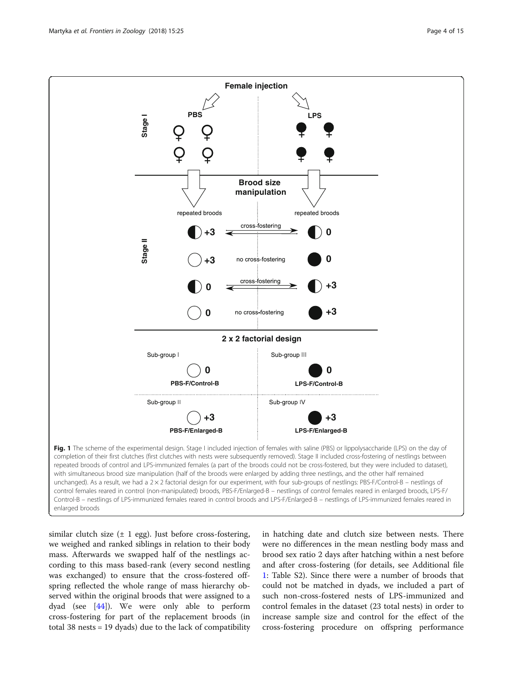<span id="page-3-0"></span>

similar clutch size  $(\pm 1 \text{ egg})$ . Just before cross-fostering, we weighed and ranked siblings in relation to their body mass. Afterwards we swapped half of the nestlings according to this mass based-rank (every second nestling was exchanged) to ensure that the cross-fostered offspring reflected the whole range of mass hierarchy observed within the original broods that were assigned to a dyad (see [[44\]](#page-13-0)). We were only able to perform cross-fostering for part of the replacement broods (in total 38 nests = 19 dyads) due to the lack of compatibility in hatching date and clutch size between nests. There were no differences in the mean nestling body mass and brood sex ratio 2 days after hatching within a nest before and after cross-fostering (for details, see Additional file [1:](#page-12-0) Table S2). Since there were a number of broods that could not be matched in dyads, we included a part of such non-cross-fostered nests of LPS-immunized and control females in the dataset (23 total nests) in order to increase sample size and control for the effect of the cross-fostering procedure on offspring performance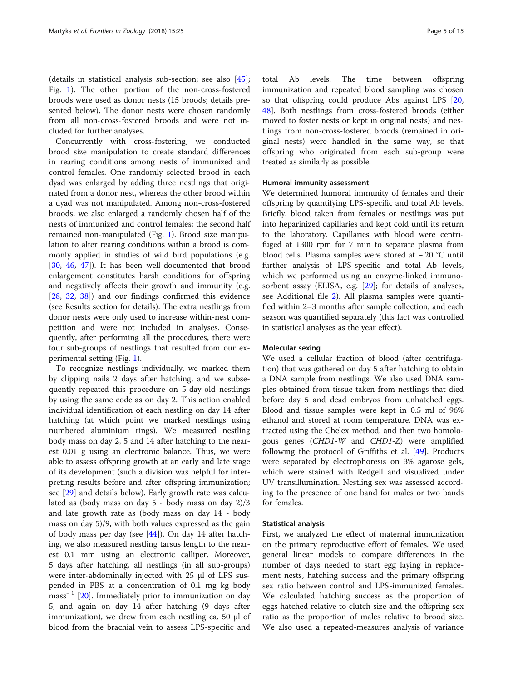(details in statistical analysis sub-section; see also [\[45](#page-13-0)]; Fig. [1](#page-3-0)). The other portion of the non-cross-fostered broods were used as donor nests (15 broods; details presented below). The donor nests were chosen randomly from all non-cross-fostered broods and were not included for further analyses.

Concurrently with cross-fostering, we conducted brood size manipulation to create standard differences in rearing conditions among nests of immunized and control females. One randomly selected brood in each dyad was enlarged by adding three nestlings that originated from a donor nest, whereas the other brood within a dyad was not manipulated. Among non-cross-fostered broods, we also enlarged a randomly chosen half of the nests of immunized and control females; the second half remained non-manipulated (Fig. [1](#page-3-0)). Brood size manipulation to alter rearing conditions within a brood is commonly applied in studies of wild bird populations (e.g. [[30,](#page-13-0) [46](#page-13-0), [47](#page-13-0)]). It has been well-documented that brood enlargement constitutes harsh conditions for offspring and negatively affects their growth and immunity (e.g. [[28,](#page-13-0) [32](#page-13-0), [38\]](#page-13-0)) and our findings confirmed this evidence (see Results section for details). The extra nestlings from donor nests were only used to increase within-nest competition and were not included in analyses. Consequently, after performing all the procedures, there were four sub-groups of nestlings that resulted from our experimental setting (Fig. [1](#page-3-0)).

To recognize nestlings individually, we marked them by clipping nails 2 days after hatching, and we subsequently repeated this procedure on 5-day-old nestlings by using the same code as on day 2. This action enabled individual identification of each nestling on day 14 after hatching (at which point we marked nestlings using numbered aluminium rings). We measured nestling body mass on day 2, 5 and 14 after hatching to the nearest 0.01 g using an electronic balance. Thus, we were able to assess offspring growth at an early and late stage of its development (such a division was helpful for interpreting results before and after offspring immunization; see [[29\]](#page-13-0) and details below). Early growth rate was calculated as (body mass on day 5 - body mass on day 2)/3 and late growth rate as (body mass on day 14 - body mass on day 5)/9, with both values expressed as the gain of body mass per day (see [[44\]](#page-13-0)). On day 14 after hatching, we also measured nestling tarsus length to the nearest 0.1 mm using an electronic calliper. Moreover, 5 days after hatching, all nestlings (in all sub-groups) were inter-abdominally injected with 25 μl of LPS suspended in PBS at a concentration of 0.1 mg kg body  $mass<sup>-1</sup>$  [\[20\]](#page-13-0). Immediately prior to immunization on day 5, and again on day 14 after hatching (9 days after immunization), we drew from each nestling ca. 50 μl of blood from the brachial vein to assess LPS-specific and total Ab levels. The time between offspring immunization and repeated blood sampling was chosen so that offspring could produce Abs against LPS [[20](#page-13-0), [48\]](#page-13-0). Both nestlings from cross-fostered broods (either moved to foster nests or kept in original nests) and nestlings from non-cross-fostered broods (remained in original nests) were handled in the same way, so that offspring who originated from each sub-group were treated as similarly as possible.

## Humoral immunity assessment

We determined humoral immunity of females and their offspring by quantifying LPS-specific and total Ab levels. Briefly, blood taken from females or nestlings was put into heparinized capillaries and kept cold until its return to the laboratory. Capillaries with blood were centrifuged at 1300 rpm for 7 min to separate plasma from blood cells. Plasma samples were stored at − 20 °C until further analysis of LPS-specific and total Ab levels, which we performed using an enzyme-linked immunosorbent assay (ELISA, e.g. [\[29](#page-13-0)]; for details of analyses, see Additional file [2](#page-12-0)). All plasma samples were quantified within 2–3 months after sample collection, and each season was quantified separately (this fact was controlled in statistical analyses as the year effect).

## Molecular sexing

We used a cellular fraction of blood (after centrifugation) that was gathered on day 5 after hatching to obtain a DNA sample from nestlings. We also used DNA samples obtained from tissue taken from nestlings that died before day 5 and dead embryos from unhatched eggs. Blood and tissue samples were kept in 0.5 ml of 96% ethanol and stored at room temperature. DNA was extracted using the Chelex method, and then two homologous genes (CHD1-W and CHD1-Z) were amplified following the protocol of Griffiths et al. [[49](#page-13-0)]. Products were separated by electrophoresis on 3% agarose gels, which were stained with Redgell and visualized under UV transillumination. Nestling sex was assessed according to the presence of one band for males or two bands for females.

#### Statistical analysis

First, we analyzed the effect of maternal immunization on the primary reproductive effort of females. We used general linear models to compare differences in the number of days needed to start egg laying in replacement nests, hatching success and the primary offspring sex ratio between control and LPS-immunized females. We calculated hatching success as the proportion of eggs hatched relative to clutch size and the offspring sex ratio as the proportion of males relative to brood size. We also used a repeated-measures analysis of variance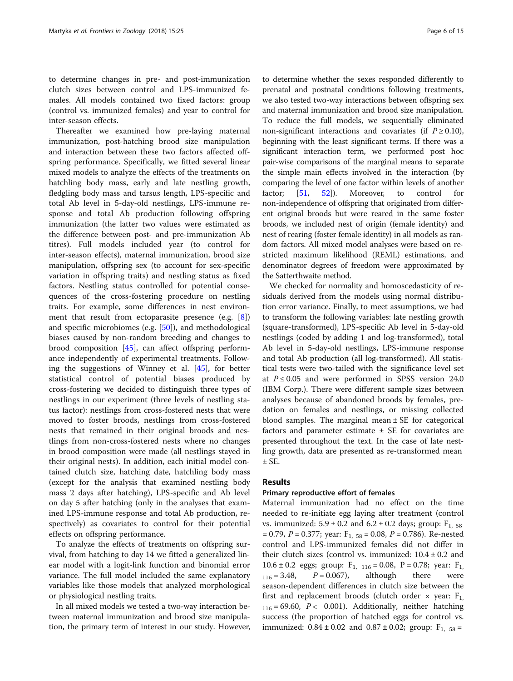to determine changes in pre- and post-immunization clutch sizes between control and LPS-immunized females. All models contained two fixed factors: group (control vs. immunized females) and year to control for inter-season effects.

Thereafter we examined how pre-laying maternal immunization, post-hatching brood size manipulation and interaction between these two factors affected offspring performance. Specifically, we fitted several linear mixed models to analyze the effects of the treatments on hatchling body mass, early and late nestling growth, fledgling body mass and tarsus length, LPS-specific and total Ab level in 5-day-old nestlings, LPS-immune response and total Ab production following offspring immunization (the latter two values were estimated as the difference between post- and pre-immunization Ab titres). Full models included year (to control for inter-season effects), maternal immunization, brood size manipulation, offspring sex (to account for sex-specific variation in offspring traits) and nestling status as fixed factors. Nestling status controlled for potential consequences of the cross-fostering procedure on nestling traits. For example, some differences in nest environment that result from ectoparasite presence (e.g.  $[8]$  $[8]$ ) and specific microbiomes (e.g. [[50\]](#page-13-0)), and methodological biases caused by non-random breeding and changes to brood composition [\[45](#page-13-0)], can affect offspring performance independently of experimental treatments. Following the suggestions of Winney et al. [[45](#page-13-0)], for better statistical control of potential biases produced by cross-fostering we decided to distinguish three types of nestlings in our experiment (three levels of nestling status factor): nestlings from cross-fostered nests that were moved to foster broods, nestlings from cross-fostered nests that remained in their original broods and nestlings from non-cross-fostered nests where no changes in brood composition were made (all nestlings stayed in their original nests). In addition, each initial model contained clutch size, hatching date, hatchling body mass (except for the analysis that examined nestling body mass 2 days after hatching), LPS-specific and Ab level on day 5 after hatching (only in the analyses that examined LPS-immune response and total Ab production, respectively) as covariates to control for their potential effects on offspring performance.

To analyze the effects of treatments on offspring survival, from hatching to day 14 we fitted a generalized linear model with a logit-link function and binomial error variance. The full model included the same explanatory variables like those models that analyzed morphological or physiological nestling traits.

In all mixed models we tested a two-way interaction between maternal immunization and brood size manipulation, the primary term of interest in our study. However,

to determine whether the sexes responded differently to prenatal and postnatal conditions following treatments, we also tested two-way interactions between offspring sex and maternal immunization and brood size manipulation. To reduce the full models, we sequentially eliminated non-significant interactions and covariates (if  $P \ge 0.10$ ), beginning with the least significant terms. If there was a significant interaction term, we performed post hoc pair-wise comparisons of the marginal means to separate the simple main effects involved in the interaction (by comparing the level of one factor within levels of another factor; [\[51](#page-13-0), [52](#page-13-0)]). Moreover, to control for non-independence of offspring that originated from different original broods but were reared in the same foster broods, we included nest of origin (female identity) and nest of rearing (foster female identity) in all models as random factors. All mixed model analyses were based on restricted maximum likelihood (REML) estimations, and denominator degrees of freedom were approximated by the Satterthwaite method.

We checked for normality and homoscedasticity of residuals derived from the models using normal distribution error variance. Finally, to meet assumptions, we had to transform the following variables: late nestling growth (square-transformed), LPS-specific Ab level in 5-day-old nestlings (coded by adding 1 and log-transformed), total Ab level in 5-day-old nestlings, LPS-immune response and total Ab production (all log-transformed). All statistical tests were two-tailed with the significance level set at  $P \le 0.05$  and were performed in SPSS version 24.0 (IBM Corp.). There were different sample sizes between analyses because of abandoned broods by females, predation on females and nestlings, or missing collected blood samples. The marginal mean  $\pm$  SE for categorical factors and parameter estimate  $\pm$  SE for covariates are presented throughout the text. In the case of late nestling growth, data are presented as re-transformed mean ± SE.

## Results

## Primary reproductive effort of females

Maternal immunization had no effect on the time needed to re-initiate egg laying after treatment (control vs. immunized:  $5.9 \pm 0.2$  and  $6.2 \pm 0.2$  days; group:  $F_{1, 58}$  $= 0.79$ ,  $P = 0.377$ ; year:  $F_{1, 58} = 0.08$ ,  $P = 0.786$ ). Re-nested control and LPS-immunized females did not differ in their clutch sizes (control vs. immunized:  $10.4 \pm 0.2$  and 10.6 ± 0.2 eggs; group:  $F_{1, 116} = 0.08$ , P = 0.78; year:  $F_{1,}$  $116 = 3.48$ ,  $P = 0.067$ , although there were season-dependent differences in clutch size between the first and replacement broods (clutch order  $\times$  year:  $F_1$ ,  $_{116}$  = 69.60,  $P < 0.001$ ). Additionally, neither hatching success (the proportion of hatched eggs for control vs. immunized:  $0.84 \pm 0.02$  and  $0.87 \pm 0.02$ ; group:  $F_{1, 58} =$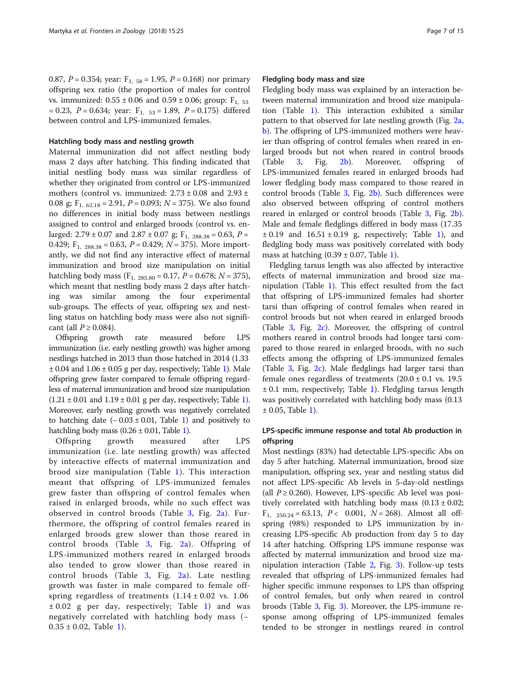0.87,  $P = 0.354$ ; year:  $F_{1, 58} = 1.95$ ,  $P = 0.168$ ) nor primary offspring sex ratio (the proportion of males for control vs. immunized:  $0.55 \pm 0.06$  and  $0.59 \pm 0.06$ ; group:  $F_{1, 53}$  $= 0.23$ ,  $P = 0.634$ ; year:  $F_{1, 53} = 1.89$ ,  $P = 0.175$ ) differed between control and LPS-immunized females.

## Hatchling body mass and nestling growth

Maternal immunization did not affect nestling body mass 2 days after hatching. This finding indicated that initial nestling body mass was similar regardless of whether they originated from control or LPS-immunized mothers (control vs. immunized:  $2.73 \pm 0.08$  and  $2.93 \pm$ 0.08 g;  $F_{1, 62, 18} = 2.91$ ,  $P = 0.093$ ;  $N = 375$ ). We also found no differences in initial body mass between nestlings assigned to control and enlarged broods (control vs. enlarged:  $2.79 \pm 0.07$  and  $2.87 \pm 0.07$  g; F<sub>1, 288.38</sub> = 0.63, P = 0.429;  $F_1$ , 288.38 = 0.63,  $P = 0.429$ ;  $N = 375$ ). More importantly, we did not find any interactive effect of maternal immunization and brood size manipulation on initial hatchling body mass ( $F_{1, 285.80} = 0.17$ ,  $P = 0.678$ ;  $N = 375$ ), which meant that nestling body mass 2 days after hatching was similar among the four experimental sub-groups. The effects of year, offspring sex and nestling status on hatchling body mass were also not significant (all  $P \ge 0.084$ ).

Offspring growth rate measured before LPS immunization (i.e. early nestling growth) was higher among nestlings hatched in 2013 than those hatched in 2014 (1.33  $\pm$  0.04 and [1](#page-7-0).06  $\pm$  0.05 g per day, respectively; Table 1). Male offspring grew faster compared to female offspring regardless of maternal immunization and brood size manipulation  $(1.21 \pm 0.01$  $(1.21 \pm 0.01$  $(1.21 \pm 0.01$  and  $1.19 \pm 0.01$  g per day, respectively; Table 1). Moreover, early nestling growth was negatively correlated to hatching date  $(-0.03 \pm 0.01,$  Table [1\)](#page-7-0) and positively to hatchling body mass  $(0.26 \pm 0.01,$  Table [1\)](#page-7-0).

Offspring growth measured after LPS immunization (i.e. late nestling growth) was affected by interactive effects of maternal immunization and brood size manipulation (Table [1](#page-7-0)). This interaction meant that offspring of LPS-immunized females grew faster than offspring of control females when raised in enlarged broods, while no such effect was observed in control broods (Table [3,](#page-11-0) Fig. [2a](#page-8-0)). Furthermore, the offspring of control females reared in enlarged broods grew slower than those reared in control broods (Table [3,](#page-11-0) Fig. [2a\)](#page-8-0). Offspring of LPS-immunized mothers reared in enlarged broods also tended to grow slower than those reared in control broods (Table [3](#page-11-0), Fig. [2a\)](#page-8-0). Late nestling growth was faster in male compared to female offspring regardless of treatments  $(1.14 \pm 0.02 \text{ vs. } 1.06$ ± 0.02 g per day, respectively; Table [1\)](#page-7-0) and was negatively correlated with hatchling body mass (−  $0.35 \pm 0.02$ , Table [1\)](#page-7-0).

## Fledgling body mass and size

Fledgling body mass was explained by an interaction between maternal immunization and brood size manipulation (Table [1](#page-7-0)). This interaction exhibited a similar pattern to that observed for late nestling growth (Fig. [2a,](#page-8-0) [b\)](#page-8-0). The offspring of LPS-immunized mothers were heavier than offspring of control females when reared in enlarged broods but not when reared in control broods (Table [3](#page-11-0), Fig. [2b\)](#page-8-0). Moreover, offspring of LPS-immunized females reared in enlarged broods had lower fledgling body mass compared to those reared in control broods (Table [3,](#page-11-0) Fig. [2b](#page-8-0)). Such differences were also observed between offspring of control mothers reared in enlarged or control broods (Table [3](#page-11-0), Fig. [2b](#page-8-0)). Male and female fledglings differed in body mass (17.35  $\pm$  0.[1](#page-7-0)9 and 16.51  $\pm$  0.19 g, respectively; Table 1), and fledgling body mass was positively correlated with body mass at hatching  $(0.39 \pm 0.07,$  Table [1\)](#page-7-0).

Fledgling tarsus length was also affected by interactive effects of maternal immunization and brood size manipulation (Table [1\)](#page-7-0). This effect resulted from the fact that offspring of LPS-immunized females had shorter tarsi than offspring of control females when reared in control broods but not when reared in enlarged broods (Table [3,](#page-11-0) Fig. [2c\)](#page-8-0). Moreover, the offspring of control mothers reared in control broods had longer tarsi compared to those reared in enlarged broods, with no such effects among the offspring of LPS-immunized females (Table [3](#page-11-0), Fig. [2c\)](#page-8-0). Male fledglings had larger tarsi than female ones regardless of treatments  $(20.0 \pm 0.1 \text{ vs. } 19.5$ ± 0.1 mm, respectively; Table [1\)](#page-7-0). Fledgling tarsus length was positively correlated with hatchling body mass (0.13  $± 0.05$ , Table [1\)](#page-7-0).

## LPS-specific immune response and total Ab production in offspring

Most nestlings (83%) had detectable LPS-specific Abs on day 5 after hatching. Maternal immunization, brood size manipulation, offspring sex, year and nestling status did not affect LPS-specific Ab levels in 5-day-old nestlings (all  $P \ge 0.260$ ). However, LPS-specific Ab level was positively correlated with hatchling body mass  $(0.13 \pm 0.02)$ ;  $F_{1, 250, 24} = 63.13, P < 0.001, N = 268$ . Almost all offspring (98%) responded to LPS immunization by increasing LPS-specific Ab production from day 5 to day 14 after hatching. Offspring LPS immune response was affected by maternal immunization and brood size manipulation interaction (Table [2](#page-9-0), Fig. [3\)](#page-10-0). Follow-up tests revealed that offspring of LPS-immunized females had higher specific immune responses to LPS than offspring of control females, but only when reared in control broods (Table [3](#page-11-0), Fig. [3\)](#page-10-0). Moreover, the LPS-immune response among offspring of LPS-immunized females tended to be stronger in nestlings reared in control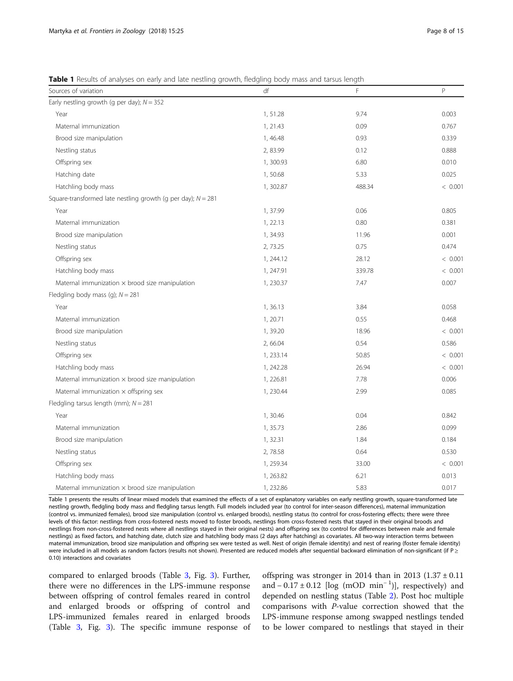<span id="page-7-0"></span>Table 1 Results of analyses on early and late nestling growth, fledgling body mass and tarsus length

| Sources of variation                                           | df        | F      | P       |
|----------------------------------------------------------------|-----------|--------|---------|
| Early nestling growth (g per day); $N = 352$                   |           |        |         |
| Year                                                           | 1,51.28   | 9.74   | 0.003   |
| Maternal immunization                                          | 1, 21.43  | 0.09   | 0.767   |
| Brood size manipulation                                        | 1, 46.48  | 0.93   | 0.339   |
| Nestling status                                                | 2,83.99   | 0.12   | 0.888   |
| Offspring sex                                                  | 1,300.93  | 6.80   | 0.010   |
| Hatching date                                                  | 1,50.68   | 5.33   | 0.025   |
| Hatchling body mass                                            | 1,302.87  | 488.34 | < 0.001 |
| Square-transformed late nestling growth (g per day); $N = 281$ |           |        |         |
| Year                                                           | 1,37.99   | 0.06   | 0.805   |
| Maternal immunization                                          | 1, 22.13  | 0.80   | 0.381   |
| Brood size manipulation                                        | 1,34.93   | 11.96  | 0.001   |
| Nestling status                                                | 2,73.25   | 0.75   | 0.474   |
| Offspring sex                                                  | 1, 244.12 | 28.12  | < 0.001 |
| Hatchling body mass                                            | 1, 247.91 | 339.78 | < 0.001 |
| Maternal immunization $\times$ brood size manipulation         | 1, 230.37 | 7.47   | 0.007   |
| Fledgling body mass (g); $N = 281$                             |           |        |         |
| Year                                                           | 1, 36.13  | 3.84   | 0.058   |
| Maternal immunization                                          | 1, 20.71  | 0.55   | 0.468   |
| Brood size manipulation                                        | 1,39.20   | 18.96  | < 0.001 |
| Nestling status                                                | 2,66.04   | 0.54   | 0.586   |
| Offspring sex                                                  | 1, 233.14 | 50.85  | < 0.001 |
| Hatchling body mass                                            | 1, 242.28 | 26.94  | < 0.001 |
| Maternal immunization $\times$ brood size manipulation         | 1,226.81  | 7.78   | 0.006   |
| Maternal immunization $\times$ offspring sex                   | 1, 230.44 | 2.99   | 0.085   |
| Fledgling tarsus length (mm); $N = 281$                        |           |        |         |
| Year                                                           | 1,30.46   | 0.04   | 0.842   |
| Maternal immunization                                          | 1,35.73   | 2.86   | 0.099   |
| Brood size manipulation                                        | 1, 32.31  | 1.84   | 0.184   |
| Nestling status                                                | 2,78.58   | 0.64   | 0.530   |
| Offspring sex                                                  | 1, 259.34 | 33.00  | < 0.001 |
| Hatchling body mass                                            | 1, 263.82 | 6.21   | 0.013   |
| Maternal immunization $\times$ brood size manipulation         | 1, 232.86 | 5.83   | 0.017   |

Table 1 presents the results of linear mixed models that examined the effects of a set of explanatory variables on early nestling growth, square-transformed late nestling growth, fledgling body mass and fledgling tarsus length. Full models included year (to control for inter-season differences), maternal immunization (control vs. immunized females), brood size manipulation (control vs. enlarged broods), nestling status (to control for cross-fostering effects; there were three levels of this factor: nestlings from cross-fostered nests moved to foster broods, nestlings from cross-fostered nests that stayed in their original broods and nestlings from non-cross-fostered nests where all nestlings stayed in their original nests) and offspring sex (to control for differences between male and female nestlings) as fixed factors, and hatching date, clutch size and hatchling body mass (2 days after hatching) as covariates. All two-way interaction terms between maternal immunization, brood size manipulation and offspring sex were tested as well. Nest of origin (female identity) and nest of rearing (foster female identity) were included in all models as random factors (results not shown). Presented are reduced models after sequential backward elimination of non-significant (if P  $\geq$ 0.10) interactions and covariates

compared to enlarged broods (Table [3](#page-11-0), Fig. [3\)](#page-10-0). Further, there were no differences in the LPS-immune response between offspring of control females reared in control and enlarged broods or offspring of control and LPS-immunized females reared in enlarged broods (Table [3,](#page-11-0) Fig. [3](#page-10-0)). The specific immune response of

offspring was stronger in 2014 than in 2013  $(1.37 \pm 0.11)$ and  $-0.17 \pm 0.12$  [log (mOD min<sup>-1</sup>)], respectively) and depended on nestling status (Table [2](#page-9-0)). Post hoc multiple comparisons with P-value correction showed that the LPS-immune response among swapped nestlings tended to be lower compared to nestlings that stayed in their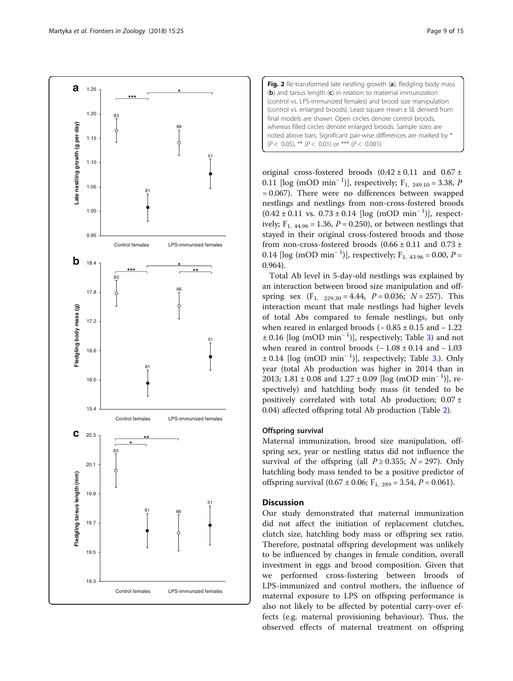<span id="page-8-0"></span>

Fig. 2 Re-transformed late nestling growth (a), fledgling body mass (b) and tarsus length (c) in relation to maternal immunization (control vs. LPS-immunized females) and brood size manipulation (control vs. enlarged broods). Least square mean ± SE derived from final models are shown. Open circles denote control broods, whereas filled circles denote enlarged broods. Sample sizes are noted above bars. Significant pair-wise differences are marked by \*  $(P < 0.05)$ , \*\*  $(P < 0.01)$  or \*\*\*  $(P < 0.001)$ 

original cross-fostered broods  $(0.42 \pm 0.11$  and  $0.67 \pm$ 0.11 [log (mOD min<sup>-1</sup>)], respectively;  $F_{1, 249.10} = 3.38$ , *F*  $= 0.067$ ). There were no differences between swapped nestlings and nestlings from non-cross-fostered broods  $(0.42 \pm 0.11 \text{ vs. } 0.73 \pm 0.14 \text{ [log (mOD min}^{-1})], \text{ respect-}$ ively;  $F_{1, 44.96} = 1.36$ ,  $P = 0.250$ ), or between nestlings that stayed in their original cross-fostered broods and those from non-cross-fostered broods  $(0.66 \pm 0.11$  and  $0.73 \pm$ 0.14 [log (mOD min<sup>-1</sup>)], respectively;  $F_{1, 43.96} = 0.00$ ,  $P =$ 0.964).

Total Ab level in 5-day-old nestlings was explained by an interaction between brood size manipulation and offspring sex  $(F_1, 229.30) = 4.44$ ,  $P = 0.036$ ;  $N = 257$ ). This interaction meant that male nestlings had higher levels of total Abs compared to female nestlings, but only when reared in enlarged broods  $(-0.85 \pm 0.15$  and  $-1.22$ ± 0.16 [log (mOD min<sup>−</sup> <sup>1</sup> )], respectively; Table [3](#page-11-0)) and not when reared in control broods  $(-1.08 \pm 0.14$  and  $-1.03$ ± 0.14 [log (mOD min<sup>-1</sup>)], respectively; Table [3.](#page-11-0)). Only year (total Ab production was higher in 2014 than in 2013; 1.81 ± 0.08 and  $1.27 \pm 0.09$  [log (mOD min<sup>-1</sup>)], respectively) and hatchling body mass (it tended to be positively correlated with total Ab production; 0.07 ± 0.04) affected offspring total Ab production (Table [2](#page-9-0)).

## Offspring survival

Maternal immunization, brood size manipulation, offspring sex, year or nestling status did not influence the survival of the offspring (all  $P \ge 0.355$ ;  $N = 297$ ). Only hatchling body mass tended to be a positive predictor of offspring survival  $(0.67 \pm 0.06; F_{1, 289} = 3.54, P = 0.061)$ .

## **Discussion**

Our study demonstrated that maternal immunization did not affect the initiation of replacement clutches, clutch size, hatchling body mass or offspring sex ratio. Therefore, postnatal offspring development was unlikely to be influenced by changes in female condition, overall investment in eggs and brood composition. Given that we performed cross-fostering between broods of LPS-immunized and control mothers, the influence of maternal exposure to LPS on offspring performance is also not likely to be affected by potential carry-over effects (e.g. maternal provisioning behaviour). Thus, the observed effects of maternal treatment on offspring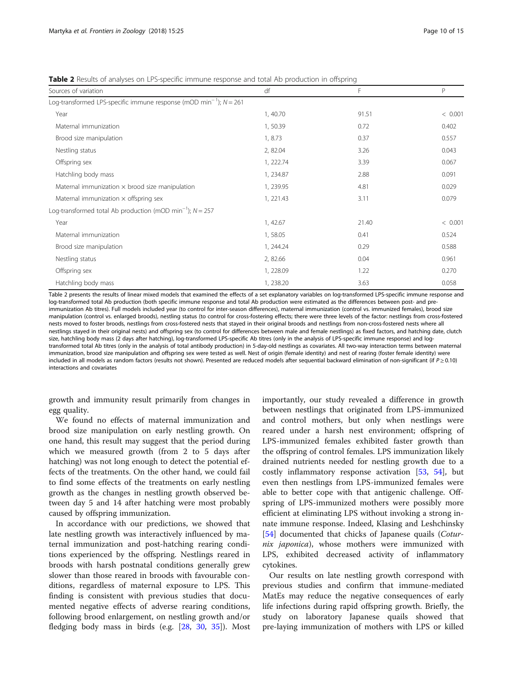<span id="page-9-0"></span>**Table 2** Results of analyses on LPS-specific immune response and total Ab production in offspring

| Sources of variation                                                             | df        | F     | P       |
|----------------------------------------------------------------------------------|-----------|-------|---------|
| Log-transformed LPS-specific immune response (mOD min <sup>-1</sup> ); $N = 261$ |           |       |         |
| Year                                                                             | 1, 40.70  | 91.51 | < 0.001 |
| Maternal immunization                                                            | 1,50.39   | 0.72  | 0.402   |
| Brood size manipulation                                                          | 1,8.73    | 0.37  | 0.557   |
| Nestling status                                                                  | 2,82.04   | 3.26  | 0.043   |
| Offspring sex                                                                    | 1, 222.74 | 3.39  | 0.067   |
| Hatchling body mass                                                              | 1, 234.87 | 2.88  | 0.091   |
| Maternal immunization $\times$ brood size manipulation                           | 1, 239.95 | 4.81  | 0.029   |
| Maternal immunization $\times$ offspring sex                                     | 1, 221.43 | 3.11  | 0.079   |
| Log-transformed total Ab production (mOD min <sup>-1</sup> ); $N = 257$          |           |       |         |
| Year                                                                             | 1, 42.67  | 21.40 | < 0.001 |
| Maternal immunization                                                            | 1,58.05   | 0.41  | 0.524   |
| Brood size manipulation                                                          | 1, 244.24 | 0.29  | 0.588   |
| Nestling status                                                                  | 2,82.66   | 0.04  | 0.961   |
| Offspring sex                                                                    | 1,228.09  | 1.22  | 0.270   |
| Hatchling body mass                                                              | 1, 238.20 | 3.63  | 0.058   |

Table 2 presents the results of linear mixed models that examined the effects of a set explanatory variables on log-transformed LPS-specific immune response and log-transformed total Ab production (both specific immune response and total Ab production were estimated as the differences between post- and preimmunization Ab titres). Full models included year (to control for inter-season differences), maternal immunization (control vs. immunized females), brood size manipulation (control vs. enlarged broods), nestling status (to control for cross-fostering effects; there were three levels of the factor: nestlings from cross-fostered nests moved to foster broods, nestlings from cross-fostered nests that stayed in their original broods and nestlings from non-cross-fostered nests where all nestlings stayed in their original nests) and offspring sex (to control for differences between male and female nestlings) as fixed factors, and hatching date, clutch size, hatchling body mass (2 days after hatching), log-transformed LPS-specific Ab titres (only in the analysis of LPS-specific immune response) and logtransformed total Ab titres (only in the analysis of total antibody production) in 5-day-old nestlings as covariates. All two-way interaction terms between maternal immunization, brood size manipulation and offspring sex were tested as well. Nest of origin (female identity) and nest of rearing (foster female identity) were included in all models as random factors (results not shown). Presented are reduced models after sequential backward elimination of non-significant (if P≥0.10) interactions and covariates

growth and immunity result primarily from changes in egg quality.

We found no effects of maternal immunization and brood size manipulation on early nestling growth. On one hand, this result may suggest that the period during which we measured growth (from 2 to 5 days after hatching) was not long enough to detect the potential effects of the treatments. On the other hand, we could fail to find some effects of the treatments on early nestling growth as the changes in nestling growth observed between day 5 and 14 after hatching were most probably caused by offspring immunization.

In accordance with our predictions, we showed that late nestling growth was interactively influenced by maternal immunization and post-hatching rearing conditions experienced by the offspring. Nestlings reared in broods with harsh postnatal conditions generally grew slower than those reared in broods with favourable conditions, regardless of maternal exposure to LPS. This finding is consistent with previous studies that documented negative effects of adverse rearing conditions, following brood enlargement, on nestling growth and/or fledging body mass in birds (e.g. [[28](#page-13-0), [30,](#page-13-0) [35](#page-13-0)]). Most

importantly, our study revealed a difference in growth between nestlings that originated from LPS-immunized and control mothers, but only when nestlings were reared under a harsh nest environment; offspring of LPS-immunized females exhibited faster growth than the offspring of control females. LPS immunization likely drained nutrients needed for nestling growth due to a costly inflammatory response activation [[53,](#page-13-0) [54\]](#page-13-0), but even then nestlings from LPS-immunized females were able to better cope with that antigenic challenge. Offspring of LPS-immunized mothers were possibly more efficient at eliminating LPS without invoking a strong innate immune response. Indeed, Klasing and Leshchinsky [[54\]](#page-13-0) documented that chicks of Japanese quails (Coturnix japonica), whose mothers were immunized with LPS, exhibited decreased activity of inflammatory cytokines.

Our results on late nestling growth correspond with previous studies and confirm that immune-mediated MatEs may reduce the negative consequences of early life infections during rapid offspring growth. Briefly, the study on laboratory Japanese quails showed that pre-laying immunization of mothers with LPS or killed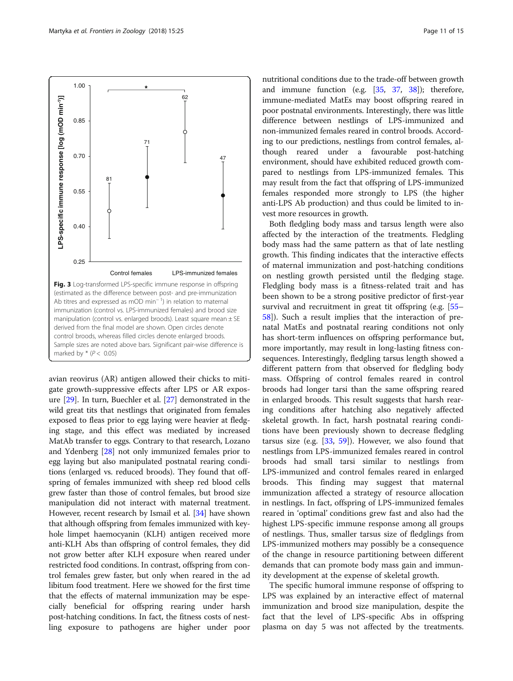<span id="page-10-0"></span>

avian reovirus (AR) antigen allowed their chicks to mitigate growth-suppressive effects after LPS or AR exposure [[29](#page-13-0)]. In turn, Buechler et al. [\[27\]](#page-13-0) demonstrated in the wild great tits that nestlings that originated from females exposed to fleas prior to egg laying were heavier at fledging stage, and this effect was mediated by increased MatAb transfer to eggs. Contrary to that research, Lozano and Ydenberg [[28](#page-13-0)] not only immunized females prior to egg laying but also manipulated postnatal rearing conditions (enlarged vs. reduced broods). They found that offspring of females immunized with sheep red blood cells grew faster than those of control females, but brood size manipulation did not interact with maternal treatment. However, recent research by Ismail et al. [\[34\]](#page-13-0) have shown that although offspring from females immunized with keyhole limpet haemocyanin (KLH) antigen received more anti-KLH Abs than offspring of control females, they did not grow better after KLH exposure when reared under restricted food conditions. In contrast, offspring from control females grew faster, but only when reared in the ad libitum food treatment. Here we showed for the first time that the effects of maternal immunization may be especially beneficial for offspring rearing under harsh post-hatching conditions. In fact, the fitness costs of nestling exposure to pathogens are higher under poor nutritional conditions due to the trade-off between growth and immune function (e.g. [\[35,](#page-13-0) [37](#page-13-0), [38](#page-13-0)]); therefore, immune-mediated MatEs may boost offspring reared in poor postnatal environments. Interestingly, there was little difference between nestlings of LPS-immunized and non-immunized females reared in control broods. According to our predictions, nestlings from control females, although reared under a favourable post-hatching environment, should have exhibited reduced growth compared to nestlings from LPS-immunized females. This may result from the fact that offspring of LPS-immunized females responded more strongly to LPS (the higher anti-LPS Ab production) and thus could be limited to invest more resources in growth.

Both fledgling body mass and tarsus length were also affected by the interaction of the treatments. Fledgling body mass had the same pattern as that of late nestling growth. This finding indicates that the interactive effects of maternal immunization and post-hatching conditions on nestling growth persisted until the fledging stage. Fledgling body mass is a fitness-related trait and has been shown to be a strong positive predictor of first-year survival and recruitment in great tit offspring (e.g. [[55](#page-14-0)– [58\]](#page-14-0)). Such a result implies that the interaction of prenatal MatEs and postnatal rearing conditions not only has short-term influences on offspring performance but, more importantly, may result in long-lasting fitness consequences. Interestingly, fledgling tarsus length showed a different pattern from that observed for fledgling body mass. Offspring of control females reared in control broods had longer tarsi than the same offspring reared in enlarged broods. This result suggests that harsh rearing conditions after hatching also negatively affected skeletal growth. In fact, harsh postnatal rearing conditions have been previously shown to decrease fledgling tarsus size (e.g.  $[33, 59]$  $[33, 59]$  $[33, 59]$  $[33, 59]$ ). However, we also found that nestlings from LPS-immunized females reared in control broods had small tarsi similar to nestlings from LPS-immunized and control females reared in enlarged broods. This finding may suggest that maternal immunization affected a strategy of resource allocation in nestlings. In fact, offspring of LPS-immunized females reared in 'optimal' conditions grew fast and also had the highest LPS-specific immune response among all groups of nestlings. Thus, smaller tarsus size of fledglings from LPS-immunized mothers may possibly be a consequence of the change in resource partitioning between different demands that can promote body mass gain and immunity development at the expense of skeletal growth.

The specific humoral immune response of offspring to LPS was explained by an interactive effect of maternal immunization and brood size manipulation, despite the fact that the level of LPS-specific Abs in offspring plasma on day 5 was not affected by the treatments.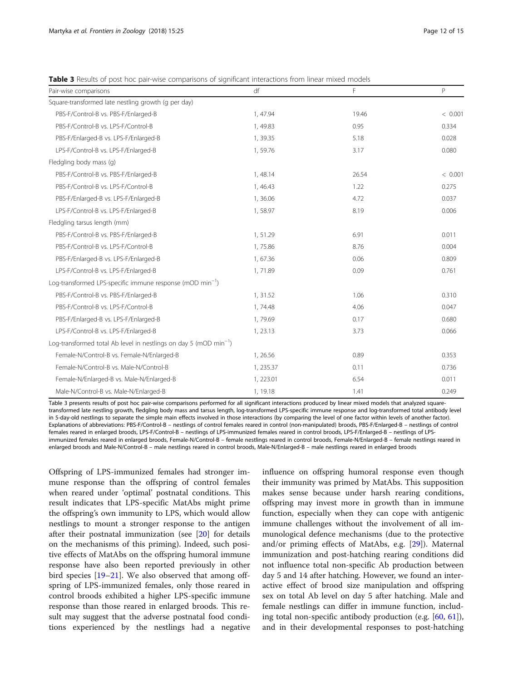<span id="page-11-0"></span>Table 3 Results of post hoc pair-wise comparisons of significant interactions from linear mixed models

| Pair-wise comparisons                                                         | df        | F     | P       |
|-------------------------------------------------------------------------------|-----------|-------|---------|
| Square-transformed late nestling growth (g per day)                           |           |       |         |
| PBS-F/Control-B vs. PBS-F/Enlarged-B                                          | 1, 47.94  | 19.46 | < 0.001 |
| PBS-F/Control-B vs. LPS-F/Control-B                                           | 1,49.83   | 0.95  | 0.334   |
| PBS-F/Enlarged-B vs. LPS-F/Enlarged-B                                         | 1,39.35   | 5.18  | 0.028   |
| LPS-F/Control-B vs. LPS-F/Enlarged-B                                          | 1,59.76   | 3.17  | 0.080   |
| Fledgling body mass (g)                                                       |           |       |         |
| PBS-F/Control-B vs. PBS-F/Enlarged-B                                          | 1,48.14   | 26.54 | < 0.001 |
| PBS-F/Control-B vs. LPS-F/Control-B                                           | 1,46.43   | 1.22  | 0.275   |
| PBS-F/Enlarged-B vs. LPS-F/Enlarged-B                                         | 1,36.06   | 4.72  | 0.037   |
| LPS-F/Control-B vs. LPS-F/Enlarged-B                                          | 1,58.97   | 8.19  | 0.006   |
| Fledgling tarsus length (mm)                                                  |           |       |         |
| PBS-F/Control-B vs. PBS-F/Enlarged-B                                          | 1,51.29   | 6.91  | 0.011   |
| PBS-F/Control-B vs. LPS-F/Control-B                                           | 1,75.86   | 8.76  | 0.004   |
| PBS-F/Enlarged-B vs. LPS-F/Enlarged-B                                         | 1,67.36   | 0.06  | 0.809   |
| LPS-F/Control-B vs. LPS-F/Enlarged-B                                          | 1,71.89   | 0.09  | 0.761   |
| Log-transformed LPS-specific immune response (mOD $min^{-1}$ )                |           |       |         |
| PBS-F/Control-B vs. PBS-F/Enlarged-B                                          | 1,31.52   | 1.06  | 0.310   |
| PBS-F/Control-B vs. LPS-F/Control-B                                           | 1,74.48   | 4.06  | 0.047   |
| PBS-F/Enlarged-B vs. LPS-F/Enlarged-B                                         | 1,79.69   | 0.17  | 0.680   |
| LPS-F/Control-B vs. LPS-F/Enlarged-B                                          | 1, 23.13  | 3.73  | 0.066   |
| Log-transformed total Ab level in nestlings on day 5 (mOD min <sup>-1</sup> ) |           |       |         |
| Female-N/Control-B vs. Female-N/Enlarged-B                                    | 1,26.56   | 0.89  | 0.353   |
| Female-N/Control-B vs. Male-N/Control-B                                       | 1, 235.37 | 0.11  | 0.736   |
| Female-N/Enlarged-B vs. Male-N/Enlarged-B                                     | 1, 223.01 | 6.54  | 0.011   |
| Male-N/Control-B vs. Male-N/Enlarged-B                                        | 1, 19.18  | 1.41  | 0.249   |

Table 3 presents results of post hoc pair-wise comparisons performed for all significant interactions produced by linear mixed models that analyzed squaretransformed late nestling growth, fledgling body mass and tarsus length, log-transformed LPS-specific immune response and log-transformed total antibody level in 5-day-old nestlings to separate the simple main effects involved in those interactions (by comparing the level of one factor within levels of another factor). Explanations of abbreviations: PBS-F/Control-B – nestlings of control females reared in control (non-manipulated) broods, PBS-F/Enlarged-B – nestlings of control females reared in enlarged broods, LPS-F/Control-B – nestlings of LPS-immunized females reared in control broods, LPS-F/Enlarged-B – nestlings of LPSimmunized females reared in enlarged broods, Female-N/Control-B – female nestlings reared in control broods, Female-N/Enlarged-B – female nestlings reared in enlarged broods and Male-N/Control-B – male nestlings reared in control broods, Male-N/Enlarged-B – male nestlings reared in enlarged broods

Offspring of LPS-immunized females had stronger immune response than the offspring of control females when reared under 'optimal' postnatal conditions. This result indicates that LPS-specific MatAbs might prime the offspring's own immunity to LPS, which would allow nestlings to mount a stronger response to the antigen after their postnatal immunization (see [[20](#page-13-0)] for details on the mechanisms of this priming). Indeed, such positive effects of MatAbs on the offspring humoral immune response have also been reported previously in other bird species [\[19](#page-13-0)–[21](#page-13-0)]. We also observed that among offspring of LPS-immunized females, only those reared in control broods exhibited a higher LPS-specific immune response than those reared in enlarged broods. This result may suggest that the adverse postnatal food conditions experienced by the nestlings had a negative influence on offspring humoral response even though their immunity was primed by MatAbs. This supposition makes sense because under harsh rearing conditions, offspring may invest more in growth than in immune function, especially when they can cope with antigenic immune challenges without the involvement of all immunological defence mechanisms (due to the protective and/or priming effects of MatAbs, e.g. [\[29](#page-13-0)]). Maternal immunization and post-hatching rearing conditions did not influence total non-specific Ab production between day 5 and 14 after hatching. However, we found an interactive effect of brood size manipulation and offspring sex on total Ab level on day 5 after hatching. Male and female nestlings can differ in immune function, including total non-specific antibody production (e.g. [\[60,](#page-14-0) [61](#page-14-0)]), and in their developmental responses to post-hatching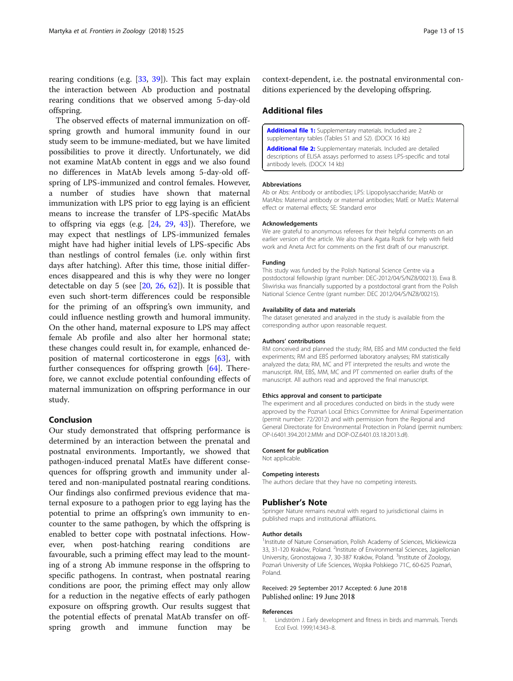<span id="page-12-0"></span>rearing conditions (e.g. [\[33](#page-13-0), [39](#page-13-0)]). This fact may explain the interaction between Ab production and postnatal rearing conditions that we observed among 5-day-old offspring.

The observed effects of maternal immunization on offspring growth and humoral immunity found in our study seem to be immune-mediated, but we have limited possibilities to prove it directly. Unfortunately, we did not examine MatAb content in eggs and we also found no differences in MatAb levels among 5-day-old offspring of LPS-immunized and control females. However, a number of studies have shown that maternal immunization with LPS prior to egg laying is an efficient means to increase the transfer of LPS-specific MatAbs to offspring via eggs (e.g. [[24,](#page-13-0) [29,](#page-13-0) [43](#page-13-0)]). Therefore, we may expect that nestlings of LPS-immunized females might have had higher initial levels of LPS-specific Abs than nestlings of control females (i.e. only within first days after hatching). After this time, those initial differences disappeared and this is why they were no longer detectable on day 5 (see [[20,](#page-13-0) [26](#page-13-0), [62\]](#page-14-0)). It is possible that even such short-term differences could be responsible for the priming of an offspring's own immunity, and could influence nestling growth and humoral immunity. On the other hand, maternal exposure to LPS may affect female Ab profile and also alter her hormonal state; these changes could result in, for example, enhanced deposition of maternal corticosterone in eggs [\[63](#page-14-0)], with further consequences for offspring growth [\[64\]](#page-14-0). Therefore, we cannot exclude potential confounding effects of maternal immunization on offspring performance in our study.

## Conclusion

Our study demonstrated that offspring performance is determined by an interaction between the prenatal and postnatal environments. Importantly, we showed that pathogen-induced prenatal MatEs have different consequences for offspring growth and immunity under altered and non-manipulated postnatal rearing conditions. Our findings also confirmed previous evidence that maternal exposure to a pathogen prior to egg laying has the potential to prime an offspring's own immunity to encounter to the same pathogen, by which the offspring is enabled to better cope with postnatal infections. However, when post-hatching rearing conditions are favourable, such a priming effect may lead to the mounting of a strong Ab immune response in the offspring to specific pathogens. In contrast, when postnatal rearing conditions are poor, the priming effect may only allow for a reduction in the negative effects of early pathogen exposure on offspring growth. Our results suggest that the potential effects of prenatal MatAb transfer on offspring growth and immune function may be

context-dependent, i.e. the postnatal environmental conditions experienced by the developing offspring.

## Additional files

[Additional file 1:](https://doi.org/10.1186/s12983-018-0272-y) Supplementary materials. Included are 2 supplementary tables (Tables S1 and S2). (DOCX 16 kb)

[Additional file 2:](https://doi.org/10.1186/s12983-018-0272-y) Supplementary materials. Included are detailed descriptions of ELISA assays performed to assess LPS-specific and total antibody levels. (DOCX 14 kb)

#### Abbreviations

Ab or Abs: Antibody or antibodies; LPS: Lipopolysaccharide; MatAb or MatAbs: Maternal antibody or maternal antibodies; MatE or MatEs: Maternal effect or maternal effects; SE: Standard error

#### Acknowledgements

We are grateful to anonymous referees for their helpful comments on an earlier version of the article. We also thank Agata Rozik for help with field work and Aneta Arct for comments on the first draft of our manuscript.

#### Funding

This study was funded by the Polish National Science Centre via a postdoctoral fellowship (grant number: DEC-2012/04/S/NZ8/00213). Ewa B. Śliwińska was financially supported by a postdoctoral grant from the Polish National Science Centre (grant number: DEC 2012/04/S/NZ8/00215).

#### Availability of data and materials

The dataset generated and analyzed in the study is available from the corresponding author upon reasonable request.

#### Authors' contributions

RM conceived and planned the study; RM, EBŚ and MM conducted the field experiments; RM and EBŚ performed laboratory analyses; RM statistically analyzed the data; RM, MC and PT interpreted the results and wrote the manuscript. RM, EBŚ, MM, MC and PT commented on earlier drafts of the manuscript. All authors read and approved the final manuscript.

#### Ethics approval and consent to participate

The experiment and all procedures conducted on birds in the study were approved by the Poznań Local Ethics Committee for Animal Experimentation (permit number: 72/2012) and with permission from the Regional and General Directorate for Environmental Protection in Poland (permit numbers: OP-I.6401.394.2012.MMr and DOP-OZ.6401.03.18.2013.dł).

#### Consent for publication

Not applicable.

#### Competing interests

The authors declare that they have no competing interests.

#### Publisher's Note

Springer Nature remains neutral with regard to jurisdictional claims in published maps and institutional affiliations.

#### Author details

<sup>1</sup>Institute of Nature Conservation, Polish Academy of Sciences, Mickiewicza 33, 31-120 Kraków, Poland. <sup>2</sup>Institute of Environmental Sciences, Jagiellonian University, Gronostajowa 7, 30-387 Kraków, Poland. <sup>3</sup>Institute of Zoology Poznań University of Life Sciences, Wojska Polskiego 71C, 60-625 Poznań, Poland.

## Received: 29 September 2017 Accepted: 6 June 2018 Published online: 19 June 2018

#### References

1. Lindström J. Early development and fitness in birds and mammals. Trends Ecol Evol. 1999;14:343–8.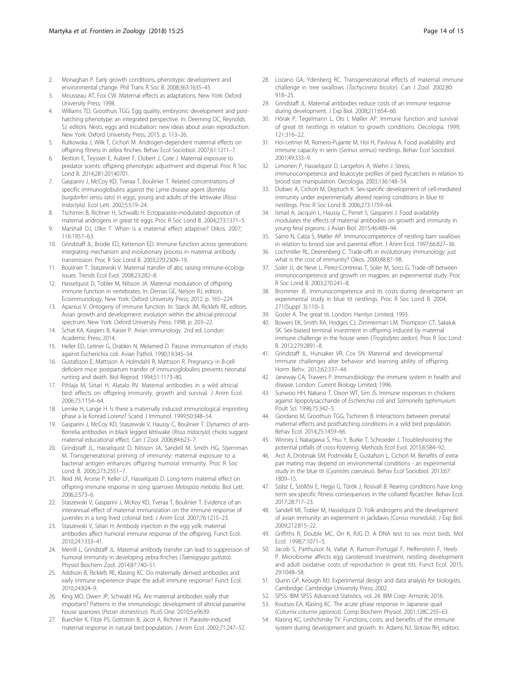- <span id="page-13-0"></span>2. Monaghan P. Early growth conditions, phenotypic development and environmental change. Phil Trans R Soc B. 2008;363:1635–45.
- 3. Mousseau AT, Fox CW. Maternal effects as adaptations. New York: Oxford University Press; 1998.
- 4. Williams TD, Groothuis TGG. Egg quality, embryonic development and posthatching phenotype: an integrated perspective. In: Deeming DC, Reynolds SJ, editors. Nests, eggs and incubation: new ideas about avian reproduction. New York: Oxford University Press; 2015. p. 113–26.
- Rutkowska J, Wilk T, Cichoń M. Androgen-dependent maternal effects on offspring fitness in zebra finches. Behav Ecol Sociobiol. 2007;61:1211–7.
- 6. Bestion E, Teyssier E, Aubret F, Clobert J, Cote J. Maternal exposure to predator scents: offspring phenotypic adjustment and dispersal. Proc R Soc Lond B. 2014;281:20140701.
- 7. Gasparini J, McCoy KD, Tveraa T, Boulinier T. Related concentrations of specific immunoglobulins against the Lyme disease agent (Borrelia burgdorferi sensu lato) in eggs, young and adults of the kittiwake (Rissa tridactyla). Ecol Lett. 2002;5:519–24.
- Tschirren B, Richner H, Schwalb H. Ectoparasite-modulated deposition of maternal androgens in great tit eggs. Proc R Soc Lond B. 2004;273:1371–5.
- 9. Marshall DJ, Uller T. When is a maternal effect adaptive? Oikos. 2007; 116:1957–63.
- 10. Grindstaff JL, Brodie ED, Ketterson ED. Immune function across generations: integrating mechanism and evolutionary process in maternal antibody transmission. Proc R Soc Lond B. 2003;270:2309–19.
- 11. Boulinier T, Staszewski V. Maternal transfer of abs: raising immune-ecology issues. Trends Ecol Evol. 2008;23:282–8.
- 12. Hasselquist D, Tobler M, Nilsson JA, Maternal modulation of offspring immune function in vertebrates. In: Demas GE, Nelson RJ, editors. Ecoimmunology. New York: Oxford University Press; 2012. p. 165–224.
- 13. Apanius V. Ontogeny of immune function. In: Starck JM, Ricklefs RE, editors. Avian growth and development: evolution within the altricial-precocial spectrum. New York: Oxford University Press; 1998. p. 203–22.
- 14. Schat KA, Kaspers B, Kaiser P. Avian immunology. 2nd ed. London: Academic Press; 2014.
- 15. Heller ED, Leitner G, Drabkin N, Melamed D. Passive immunisation of chicks against Escherichia coli. Avian Pathol. 1990;19:345–54.
- 16. Gustafsson E, Mattsson A, Holmdahl R, Mattsson R. Pregnancy in B-cell deficient mice: postpartum transfer of immunoglobulins prevents neonatal runting and death. Biol Reprod. 1994;51:1173–80.
- 17. Pihlaja M, Siitari H, Alatalo RV. Maternal antibodies in a wild altricial bird: effects on offspring immunity, growth and survival. J Anim Ecol. 2006;75:1154–64.
- 18. Lemke H, Lange H. Is there a maternally induced immunological imprinting phase a la Konrad Lorenz? Scand J Immunol. 1999;50:348–54.
- 19. Gasparini J, McCoy KD, Staszewski V, Haussy C, Boulinier T. Dynamics of anti-Borrelia antibodies in black legged kittiwake (Rissa tridactyla) chicks suggest maternal educational effect. Can J Zool. 2006;84:623–7.
- 20. Grindstaff JL, Hasselquist D, Nilsson JA, Sandell M, Smith HG, Stjernman M. Transgenerational priming of immunity: maternal exposure to a bacterial antigen enhances offspring humoral immunity. Proc R Soc Lond B. 2006;273:2551–7.
- 21. Reid JM, Arcese P, Keller LF, Hasselquist D. Long-term maternal effect on offspring immune response in song sparrows Melospiza melodia. Biol Lett. 2006;2:573–6.
- 22. Staszewski V, Gasparini J, McKoy KD, Tveraa T, Boulinier T. Evidence of an interannual effect of maternal immunization on the immune response of juveniles in a long lived colonial bird. J Anim Ecol. 2007;76:1215–23.
- 23. Staszewski V, Siitari H. Antibody injection in the egg yolk: maternal antibodies affect humoral immune response of the offspring. Funct Ecol. 2010;24:1333–41.
- 24. Merrill L, Grindstaff JL. Maternal antibody transfer can lead to suppression of humoral immunity in developing zebra finches (Taeniopygia guttata). Physiol Biochem Zool. 2014;87:740–51.
- 25. Addison B, Ricklefs RE, Klasing KC. Do maternally derived antibodies and early immune experience shape the adult immune response? Funct Ecol. 2010;24:824–9.
- 26. King MO, Owen JP, Schwabl HG. Are maternal antibodies really that important? Patterns in the immunologic development of altricial passerine house sparrows (Passer domesticus). PLoS One. 2010;5:e9639.
- 27. Buechler K, Fitze PS, Gottstein B, Jacot A, Richner H. Parasite-induced maternal response in natural bird population. J Anim Ecol. 2002;71:247–52.
- 28. Lozano GA, Ydenberg RC. Transgenerational effects of maternal immune challenge in tree swallows (Tachycineta bicolor). Can J Zool. 2002;80: 918–25.
- 29. Grindstaff JL. Maternal antibodies reduce costs of an immune response during development. J Exp Biol. 2008;211:654–60.
- 30. Hõrak P, Tegelmann L, Ots I, Møller AP. Immune function and survival of great tit nestlings in relation to growth conditions. Oecologia. 1999; 121:316–22.
- 31. Hoi-Leitner M, Romero-Pujante M, Hoi H, Pavlova A. Food availability and immune capacity in serin (Serinus serinus) nestlings. Behav Ecol Sociobiol. 2001;49:333–9.
- 32. Limonen P, Hasselquist D, Langefors A, Wiehn J, Stress, immunocompetence and leukocyte profiles of pied flycatchers in relation to brood size manipulation. Oecologia. 2003;136:148–54.
- 33. Dubiec A, Cichoń M, Deptuch K. Sex-specific development of cell-mediated immunity under experimentally altered rearing conditions in blue tit nestlings. Proc R Soc Lond B. 2006;273:1759–64.
- 34. Ismail A, Jacquin L, Haussy C, Perret S, Gasparini J. Food availability modulates the effects of maternal antibodies on growth and immunity in young feral pigeons. J Avian Biol. 2015;46:489–94.
- 35. Saino N, Calza S, Møller AP. Immunocompetence of nestling barn swallows in relation to brood size and parental effort. J Anim Ecol. 1997;66:827–36.
- 36. Lochmiller RL, Deerenberg C. Trade-offs in evolutionary immunology: just what is the cost of immunity? Oikos. 2000;88:87–98.
- 37. Soler JJ, de Neve L, Perez-Contreras T, Soler M, Sorci G. Trade-off between immunocompetence and growth on magpies: an experimental study. Proc R Soc Lond B. 2003;270:241–8.
- 38. Brommer JE. Immunocompetence and its costs during development: an experimental study in blue tit nestlings. Proc R Soc Lond B. 2004; 271(Suppl 3):110–3.
- 39. Gosler A. The great tit. London: Hamlyn Limited; 1993.
- 40. Bowers EK, Smith RA, Hodges CJ, Zimmerman LM, Thompson CT, Sakaluk SK. Sex-biased terminal investment in offspring induced by maternal immune challenge in the house wren (Troglodytes aedon). Proc R Soc Lond B. 2012;279:2891–8.
- 41. Grindstaff JL, Hunsaker VR, Cox SN. Maternal and developmental immune challenges alter behavior and learning ability of offspring. Horm Behv. 2012;62:337–44.
- 42. Janeway CA, Trawers P. Immunobiology: the immune system in health and disease. London: Current Biology Limited; 1996.
- 43. Sunwoo HH, Nakano T, Dixon WT, Sim JS. Immune responses in chickens against lipopolysaccharide of Escherichia coli and Salmonella typhimurium. Poult Sci. 1996;75:342–5.
- 44. Giordano M, Groothuis TGG, Tschirren B. Interactions between prenatal maternal effects and posthatching conditions in a wild bird population. Behav Ecol. 2014;25:1459–66.
- 45. Winney I, Nakagawa S, Hsu Y, Burke T, Schroeder J. Troubleshooting the potential pitfalls of cross-fostering. Methods Ecol Evol. 2015;6:584–92.
- 46. Arct A, Drobniak SM, Podmokła E, Gustafson L, Cichoń M. Benefits of extrapair mating may depend on environmental conditions - an experimental study in the blue tit (Cyanistes caeruleus). Behav Ecol Sociobiol. 2013;67: 1809–15.
- 47. Szász E, Szöllősi E, Hegyi G, Török J, Rosivall B. Rearing conditions have longterm sex-specific fitness consequences in the collared flycatcher. Behav Ecol. 2017;28:717–23.
- 48. Sandell MI, Tobler M, Hasselquist D. Yolk androgens and the development of avian immunity: an experiment in jackdaws (Corvus monedula). J Exp Biol. 2009;212:815–22.
- 49. Griffiths R, Double MC, Orr K, RJG D. A DNA test to sex most birds. Mol Ecol. 1998;7:1071–5.
- 50. Jacob S, Parthuisot N, Vallat A, Ramon-Portugal F, Helfenstein F, Heeb P. Microbiome affects egg carotenoid investment, nestling development and adult oxidative costs of reproduction in great tits. Funct Ecol. 2015; 29:1048–58.
- 51. Quinn GP, Keough MJ. Experimental design and data analysis for biologists. Cambridge: Cambridge University Press; 2002.
- 52. SPSS. IBM SPSS Advanced Statistics, vol. 24. IBM Corp: Armonk; 2016.
- 53. Koutsos EA, Klasing KC. The acute phase response in Japanese quail (Coturnix coturnix japonica). Comp Biochem Physiol. 2001;128C:255–63.
- 54. Klasing KC, Leshchinsky TV. Functions, costs, and benefits of the immune system during development and growth. In: Adams NJ, Slotow RH, editors.